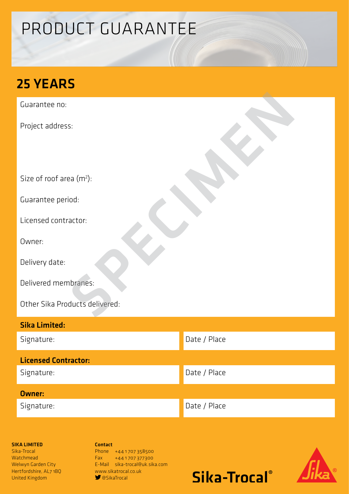# PRODUCT GUARANTEE

### 25 YEARS

Guarantee no:

Project address:

Size of roof area (m<sup>2</sup>):

Guarantee period:

Licensed contractor:

Owner:

Delivery date:

Delivered membranes:

Other Sika Products delivered: s:<br>Paa (m\*):<br>iod:<br>actor:<br>actor:<br>ducts delivered:<br>ducts delivered:

| <b>Sika Limited:</b>        |              |
|-----------------------------|--------------|
| Signature:                  | Date / Place |
| <b>Licensed Contractor:</b> |              |
| Signature:                  | Date / Place |
| <b>Owner:</b>               |              |
| Signature:                  | Date / Place |

#### SIKA LIMITED

Sika-Trocal **Watchmead** Welwyn Garden City Hertfordshire, AL7 1BQ United Kingdom

Contact Phone +441707358500 Fax +44 1 707 377300 E-Mail sika-trocal@uk.sika.com www.sikatrocal.co.uk